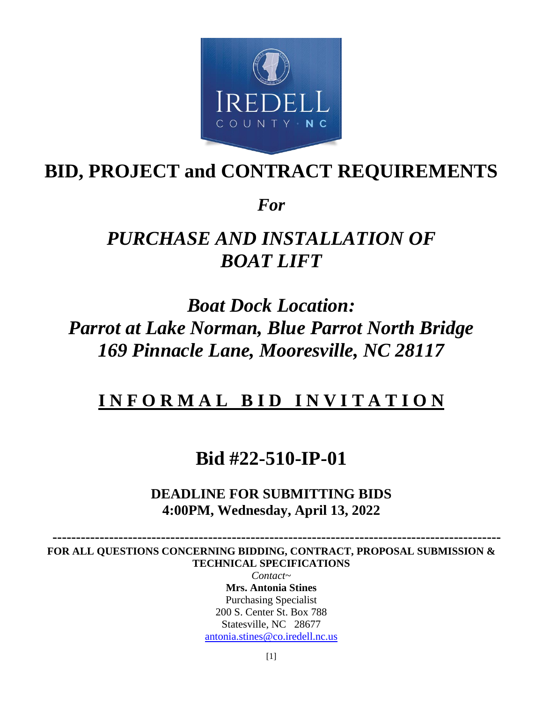

## **BID, PROJECT and CONTRACT REQUIREMENTS**

*For*

# *PURCHASE AND INSTALLATION OF BOAT LIFT*

*Boat Dock Location: Parrot at Lake Norman, Blue Parrot North Bridge 169 Pinnacle Lane, Mooresville, NC 28117*

## **I N F O R M A L B I D I N V I T A T I O N**

## **Bid #22-510-IP-01**

**DEADLINE FOR SUBMITTING BIDS 4:00PM, Wednesday, April 13, 2022**

 **----------------------------------------------------------------------------------------------- FOR ALL QUESTIONS CONCERNING BIDDING, CONTRACT, PROPOSAL SUBMISSION & TECHNICAL SPECIFICATIONS** 

> *Contact~* **Mrs. Antonia Stines** Purchasing Specialist 200 S. Center St. Box 788 Statesville, NC 28677 [antonia.stines@co.iredell.nc.us](mailto:antonia.stines@co.iredell.nc.us)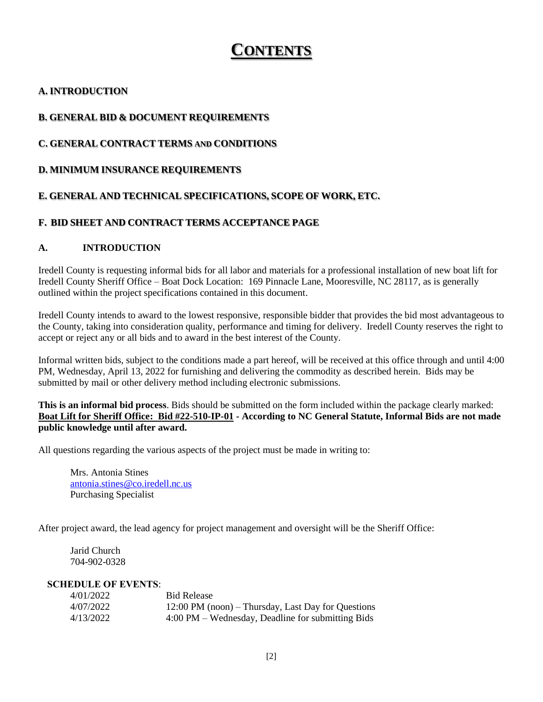## **CONTENTS**

## **A. INTRODUCTION**

## **B. GENERAL BID & DOCUMENT REQUIREMENTS**

## **C. GENERAL CONTRACT TERMS AND CONDITIONS**

## **D. MINIMUM INSURANCE REQUIREMENTS**

## **E. GENERAL AND TECHNICAL SPECIFICATIONS, SCOPE OF WORK, ETC.**

## **F. BID SHEET AND CONTRACT TERMS ACCEPTANCE PAGE**

## **A. INTRODUCTION**

Iredell County is requesting informal bids for all labor and materials for a professional installation of new boat lift for Iredell County Sheriff Office – Boat Dock Location: 169 Pinnacle Lane, Mooresville, NC 28117, as is generally outlined within the project specifications contained in this document.

Iredell County intends to award to the lowest responsive, responsible bidder that provides the bid most advantageous to the County, taking into consideration quality, performance and timing for delivery. Iredell County reserves the right to accept or reject any or all bids and to award in the best interest of the County.

Informal written bids, subject to the conditions made a part hereof, will be received at this office through and until 4:00 PM, Wednesday, April 13, 2022 for furnishing and delivering the commodity as described herein. Bids may be submitted by mail or other delivery method including electronic submissions.

#### **This is an informal bid process**. Bids should be submitted on the form included within the package clearly marked: **Boat Lift for Sheriff Office: Bid #22-510-IP-01 - According to NC General Statute, Informal Bids are not made public knowledge until after award.**

All questions regarding the various aspects of the project must be made in writing to:

Mrs. Antonia Stines [antonia.stines@co.iredell.nc.us](mailto:antonia.stines@co.iredell.nc.us) Purchasing Specialist

After project award, the lead agency for project management and oversight will be the Sheriff Office:

Jarid Church 704-902-0328

#### **SCHEDULE OF EVENTS**:

| 4/01/2022 | <b>Bid Release</b>                                           |
|-----------|--------------------------------------------------------------|
| 4/07/2022 | $12:00 \text{ PM}$ (noon) – Thursday, Last Day for Questions |
| 4/13/2022 | $4:00 \text{ PM}$ – Wednesday, Deadline for submitting Bids  |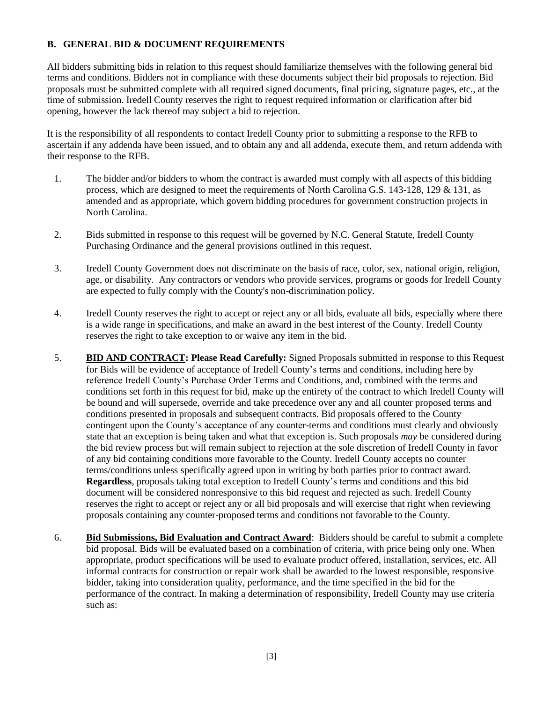## **B. GENERAL BID & DOCUMENT REQUIREMENTS**

All bidders submitting bids in relation to this request should familiarize themselves with the following general bid terms and conditions. Bidders not in compliance with these documents subject their bid proposals to rejection. Bid proposals must be submitted complete with all required signed documents, final pricing, signature pages, etc., at the time of submission. Iredell County reserves the right to request required information or clarification after bid opening, however the lack thereof may subject a bid to rejection.

It is the responsibility of all respondents to contact Iredell County prior to submitting a response to the RFB to ascertain if any addenda have been issued, and to obtain any and all addenda, execute them, and return addenda with their response to the RFB.

- 1. The bidder and/or bidders to whom the contract is awarded must comply with all aspects of this bidding process, which are designed to meet the requirements of North Carolina G.S. 143-128, 129 & 131, as amended and as appropriate, which govern bidding procedures for government construction projects in North Carolina.
- 2. Bids submitted in response to this request will be governed by N.C. General Statute, Iredell County Purchasing Ordinance and the general provisions outlined in this request.
- 3. Iredell County Government does not discriminate on the basis of race, color, sex, national origin, religion, age, or disability. Any contractors or vendors who provide services, programs or goods for Iredell County are expected to fully comply with the County's non-discrimination policy.
- 4. Iredell County reserves the right to accept or reject any or all bids, evaluate all bids, especially where there is a wide range in specifications, and make an award in the best interest of the County. Iredell County reserves the right to take exception to or waive any item in the bid.
- 5. **BID AND CONTRACT: Please Read Carefully:** Signed Proposals submitted in response to this Request for Bids will be evidence of acceptance of Iredell County's terms and conditions, including here by reference Iredell County's Purchase Order Terms and Conditions, and, combined with the terms and conditions set forth in this request for bid, make up the entirety of the contract to which Iredell County will be bound and will supersede, override and take precedence over any and all counter proposed terms and conditions presented in proposals and subsequent contracts. Bid proposals offered to the County contingent upon the County's acceptance of any counter-terms and conditions must clearly and obviously state that an exception is being taken and what that exception is. Such proposals *may* be considered during the bid review process but will remain subject to rejection at the sole discretion of Iredell County in favor of any bid containing conditions more favorable to the County. Iredell County accepts no counter terms/conditions unless specifically agreed upon in writing by both parties prior to contract award. **Regardless**, proposals taking total exception to Iredell County's terms and conditions and this bid document will be considered nonresponsive to this bid request and rejected as such. Iredell County reserves the right to accept or reject any or all bid proposals and will exercise that right when reviewing proposals containing any counter-proposed terms and conditions not favorable to the County.
- 6. **Bid Submissions, Bid Evaluation and Contract Award**: Bidders should be careful to submit a complete bid proposal. Bids will be evaluated based on a combination of criteria, with price being only one. When appropriate, product specifications will be used to evaluate product offered, installation, services, etc. All informal contracts for construction or repair work shall be awarded to the lowest responsible, responsive bidder, taking into consideration quality, performance, and the time specified in the bid for the performance of the contract. In making a determination of responsibility, Iredell County may use criteria such as: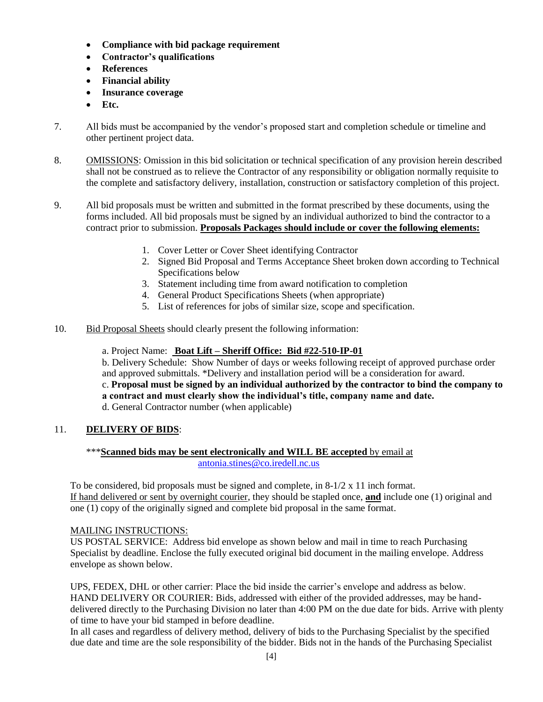- **Compliance with bid package requirement**
- **Contractor's qualifications**
- **References**
- **Financial ability**
- **Insurance coverage**
- **Etc.**
- 7. All bids must be accompanied by the vendor's proposed start and completion schedule or timeline and other pertinent project data.
- 8. OMISSIONS: Omission in this bid solicitation or technical specification of any provision herein described shall not be construed as to relieve the Contractor of any responsibility or obligation normally requisite to the complete and satisfactory delivery, installation, construction or satisfactory completion of this project.
- 9. All bid proposals must be written and submitted in the format prescribed by these documents, using the forms included. All bid proposals must be signed by an individual authorized to bind the contractor to a contract prior to submission. **Proposals Packages should include or cover the following elements:**
	- 1. Cover Letter or Cover Sheet identifying Contractor
	- 2. Signed Bid Proposal and Terms Acceptance Sheet broken down according to Technical Specifications below
	- 3. Statement including time from award notification to completion
	- 4. General Product Specifications Sheets (when appropriate)
	- 5. List of references for jobs of similar size, scope and specification.
- 10. Bid Proposal Sheets should clearly present the following information:
	- a. Project Name: **Boat Lift – Sheriff Office: Bid #22-510-IP-01**

b. Delivery Schedule: Show Number of days or weeks following receipt of approved purchase order and approved submittals. \*Delivery and installation period will be a consideration for award.

c. **Proposal must be signed by an individual authorized by the contractor to bind the company to a contract and must clearly show the individual's title, company name and date.**

d. General Contractor number (when applicable)

## 11. **DELIVERY OF BIDS**:

#### \*\*\***Scanned bids may be sent electronically and WILL BE accepted** by email at [antonia.stines@co.iredell.nc.us](mailto:antonia.stines@co.iredell.nc.us)

To be considered, bid proposals must be signed and complete, in  $8-1/2 \times 11$  inch format. If hand delivered or sent by overnight courier, they should be stapled once, **and** include one (1) original and one (1) copy of the originally signed and complete bid proposal in the same format.

#### MAILING INSTRUCTIONS:

US POSTAL SERVICE: Address bid envelope as shown below and mail in time to reach Purchasing Specialist by deadline. Enclose the fully executed original bid document in the mailing envelope. Address envelope as shown below.

UPS, FEDEX, DHL or other carrier: Place the bid inside the carrier's envelope and address as below. HAND DELIVERY OR COURIER: Bids, addressed with either of the provided addresses, may be handdelivered directly to the Purchasing Division no later than 4:00 PM on the due date for bids. Arrive with plenty of time to have your bid stamped in before deadline.

In all cases and regardless of delivery method, delivery of bids to the Purchasing Specialist by the specified due date and time are the sole responsibility of the bidder. Bids not in the hands of the Purchasing Specialist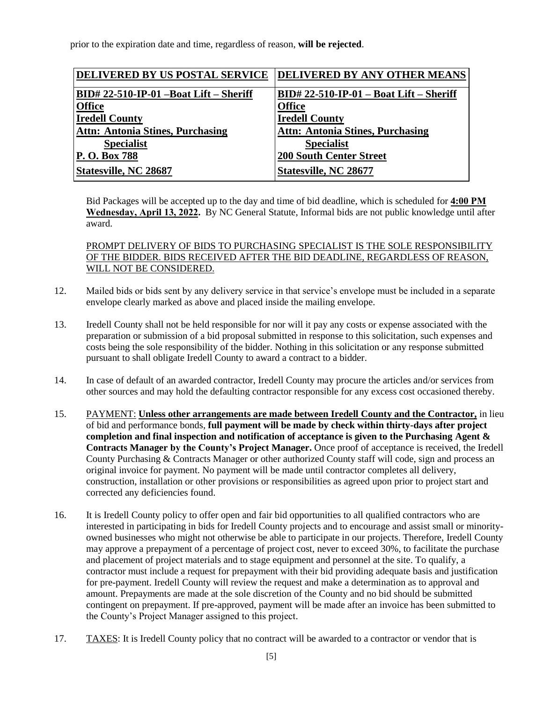prior to the expiration date and time, regardless of reason, **will be rejected**.

| <b>DELIVERED BY US POSTAL SERVICE</b>   | DELIVERED BY ANY OTHER MEANS              |
|-----------------------------------------|-------------------------------------------|
| BID# 22-510-IP-01 -Boat Lift - Sheriff  | $BID# 22-510-IP-01 - Boat Lift - Sheriff$ |
| <b>Office</b>                           | <b>Office</b>                             |
| <b>Iredell County</b>                   | <b>Iredell County</b>                     |
| <b>Attn: Antonia Stines, Purchasing</b> | <b>Attn: Antonia Stines, Purchasing</b>   |
| <b>Specialist</b>                       | <b>Specialist</b>                         |
| P. O. Box 788                           | <b>200 South Center Street</b>            |
| <b>Statesville, NC 28687</b>            | <b>Statesville, NC 28677</b>              |

Bid Packages will be accepted up to the day and time of bid deadline, which is scheduled for **4:00 PM Wednesday, April 13, 2022.** By NC General Statute, Informal bids are not public knowledge until after award.

## PROMPT DELIVERY OF BIDS TO PURCHASING SPECIALIST IS THE SOLE RESPONSIBILITY OF THE BIDDER. BIDS RECEIVED AFTER THE BID DEADLINE, REGARDLESS OF REASON, WILL NOT BE CONSIDERED.

- 12. Mailed bids or bids sent by any delivery service in that service's envelope must be included in a separate envelope clearly marked as above and placed inside the mailing envelope.
- 13. Iredell County shall not be held responsible for nor will it pay any costs or expense associated with the preparation or submission of a bid proposal submitted in response to this solicitation, such expenses and costs being the sole responsibility of the bidder. Nothing in this solicitation or any response submitted pursuant to shall obligate Iredell County to award a contract to a bidder.
- 14. In case of default of an awarded contractor, Iredell County may procure the articles and/or services from other sources and may hold the defaulting contractor responsible for any excess cost occasioned thereby.
- 15. PAYMENT: **Unless other arrangements are made between Iredell County and the Contractor,** in lieu of bid and performance bonds, **full payment will be made by check within thirty-days after project completion and final inspection and notification of acceptance is given to the Purchasing Agent & Contracts Manager by the County's Project Manager.** Once proof of acceptance is received, the Iredell County Purchasing & Contracts Manager or other authorized County staff will code, sign and process an original invoice for payment. No payment will be made until contractor completes all delivery, construction, installation or other provisions or responsibilities as agreed upon prior to project start and corrected any deficiencies found.
- 16. It is Iredell County policy to offer open and fair bid opportunities to all qualified contractors who are interested in participating in bids for Iredell County projects and to encourage and assist small or minorityowned businesses who might not otherwise be able to participate in our projects. Therefore, Iredell County may approve a prepayment of a percentage of project cost, never to exceed 30%, to facilitate the purchase and placement of project materials and to stage equipment and personnel at the site. To qualify, a contractor must include a request for prepayment with their bid providing adequate basis and justification for pre-payment. Iredell County will review the request and make a determination as to approval and amount. Prepayments are made at the sole discretion of the County and no bid should be submitted contingent on prepayment. If pre-approved, payment will be made after an invoice has been submitted to the County's Project Manager assigned to this project.
- 17. TAXES: It is Iredell County policy that no contract will be awarded to a contractor or vendor that is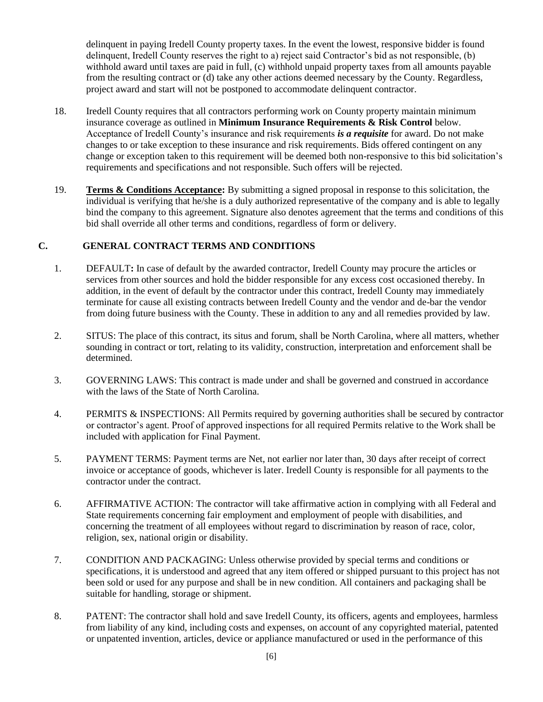delinquent in paying Iredell County property taxes. In the event the lowest, responsive bidder is found delinquent, Iredell County reserves the right to a) reject said Contractor's bid as not responsible, (b) withhold award until taxes are paid in full, (c) withhold unpaid property taxes from all amounts payable from the resulting contract or (d) take any other actions deemed necessary by the County. Regardless, project award and start will not be postponed to accommodate delinquent contractor.

- 18. Iredell County requires that all contractors performing work on County property maintain minimum insurance coverage as outlined in **Minimum Insurance Requirements & Risk Control** below. Acceptance of Iredell County's insurance and risk requirements *is a requisite* for award. Do not make changes to or take exception to these insurance and risk requirements. Bids offered contingent on any change or exception taken to this requirement will be deemed both non-responsive to this bid solicitation's requirements and specifications and not responsible. Such offers will be rejected.
- 19. **Terms & Conditions Acceptance:** By submitting a signed proposal in response to this solicitation, the individual is verifying that he/she is a duly authorized representative of the company and is able to legally bind the company to this agreement. Signature also denotes agreement that the terms and conditions of this bid shall override all other terms and conditions, regardless of form or delivery.

## **C. GENERAL CONTRACT TERMS AND CONDITIONS**

- 1. DEFAULT**:** In case of default by the awarded contractor, Iredell County may procure the articles or services from other sources and hold the bidder responsible for any excess cost occasioned thereby. In addition, in the event of default by the contractor under this contract, Iredell County may immediately terminate for cause all existing contracts between Iredell County and the vendor and de-bar the vendor from doing future business with the County. These in addition to any and all remedies provided by law.
- 2. SITUS: The place of this contract, its situs and forum, shall be North Carolina, where all matters, whether sounding in contract or tort, relating to its validity, construction, interpretation and enforcement shall be determined.
- 3. GOVERNING LAWS: This contract is made under and shall be governed and construed in accordance with the laws of the State of North Carolina.
- 4. PERMITS & INSPECTIONS: All Permits required by governing authorities shall be secured by contractor or contractor's agent. Proof of approved inspections for all required Permits relative to the Work shall be included with application for Final Payment.
- 5. PAYMENT TERMS: Payment terms are Net, not earlier nor later than, 30 days after receipt of correct invoice or acceptance of goods, whichever is later. Iredell County is responsible for all payments to the contractor under the contract.
- 6. AFFIRMATIVE ACTION: The contractor will take affirmative action in complying with all Federal and State requirements concerning fair employment and employment of people with disabilities, and concerning the treatment of all employees without regard to discrimination by reason of race, color, religion, sex, national origin or disability.
- 7. CONDITION AND PACKAGING: Unless otherwise provided by special terms and conditions or specifications, it is understood and agreed that any item offered or shipped pursuant to this project has not been sold or used for any purpose and shall be in new condition. All containers and packaging shall be suitable for handling, storage or shipment.
- 8. PATENT: The contractor shall hold and save Iredell County, its officers, agents and employees, harmless from liability of any kind, including costs and expenses, on account of any copyrighted material, patented or unpatented invention, articles, device or appliance manufactured or used in the performance of this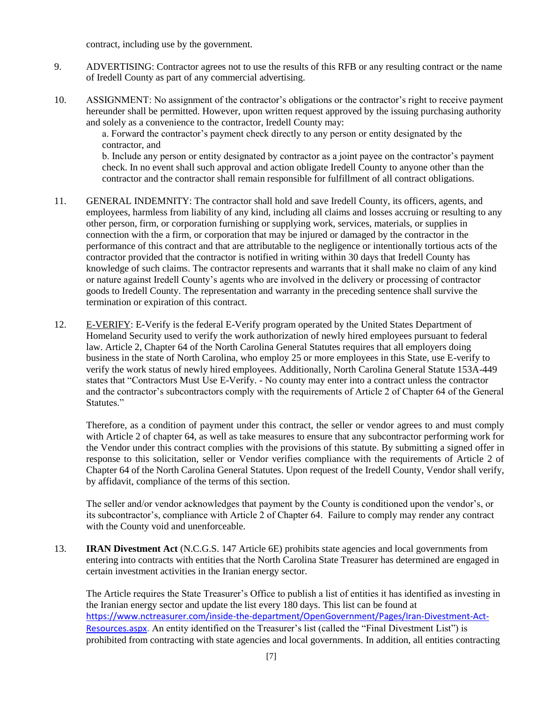contract, including use by the government.

- 9. ADVERTISING: Contractor agrees not to use the results of this RFB or any resulting contract or the name of Iredell County as part of any commercial advertising.
- 10. ASSIGNMENT: No assignment of the contractor's obligations or the contractor's right to receive payment hereunder shall be permitted. However, upon written request approved by the issuing purchasing authority and solely as a convenience to the contractor, Iredell County may:

a. Forward the contractor's payment check directly to any person or entity designated by the contractor, and

b. Include any person or entity designated by contractor as a joint payee on the contractor's payment check. In no event shall such approval and action obligate Iredell County to anyone other than the contractor and the contractor shall remain responsible for fulfillment of all contract obligations.

- 11. GENERAL INDEMNITY: The contractor shall hold and save Iredell County, its officers, agents, and employees, harmless from liability of any kind, including all claims and losses accruing or resulting to any other person, firm, or corporation furnishing or supplying work, services, materials, or supplies in connection with the a firm, or corporation that may be injured or damaged by the contractor in the performance of this contract and that are attributable to the negligence or intentionally tortious acts of the contractor provided that the contractor is notified in writing within 30 days that Iredell County has knowledge of such claims. The contractor represents and warrants that it shall make no claim of any kind or nature against Iredell County's agents who are involved in the delivery or processing of contractor goods to Iredell County. The representation and warranty in the preceding sentence shall survive the termination or expiration of this contract.
- 12. E-VERIFY: E-Verify is the federal E-Verify program operated by the United States Department of Homeland Security used to verify the work authorization of newly hired employees pursuant to federal law. Article 2, Chapter 64 of the North Carolina General Statutes requires that all employers doing business in the state of North Carolina, who employ 25 or more employees in this State, use E-verify to verify the work status of newly hired employees. Additionally, North Carolina General Statute 153A-449 states that "Contractors Must Use E-Verify. - No county may enter into a contract unless the contractor and the contractor's subcontractors comply with the requirements of Article 2 of Chapter 64 of the General Statutes."

Therefore, as a condition of payment under this contract, the seller or vendor agrees to and must comply with Article 2 of chapter 64, as well as take measures to ensure that any subcontractor performing work for the Vendor under this contract complies with the provisions of this statute. By submitting a signed offer in response to this solicitation, seller or Vendor verifies compliance with the requirements of Article 2 of Chapter 64 of the North Carolina General Statutes. Upon request of the Iredell County, Vendor shall verify, by affidavit, compliance of the terms of this section.

The seller and/or vendor acknowledges that payment by the County is conditioned upon the vendor's, or its subcontractor's, compliance with Article 2 of Chapter 64. Failure to comply may render any contract with the County void and unenforceable.

13. **IRAN Divestment Act** (N.C.G.S. 147 Article 6E) prohibits state agencies and local governments from entering into contracts with entities that the North Carolina State Treasurer has determined are engaged in certain investment activities in the Iranian energy sector.

The Article requires the State Treasurer's Office to publish a list of entities it has identified as investing in the Iranian energy sector and update the list every 180 days. This list can be found at [https://www.nctreasurer.com/inside-the-department/OpenGovernment/Pages/Iran-Divestment-Act-](https://www.nctreasurer.com/inside-the-department/OpenGovernment/Pages/Iran-Divestment-Act-Resources.aspx)[Resources.aspx.](https://www.nctreasurer.com/inside-the-department/OpenGovernment/Pages/Iran-Divestment-Act-Resources.aspx) An entity identified on the Treasurer's list (called the "Final Divestment List") is prohibited from contracting with state agencies and local governments. In addition, all entities contracting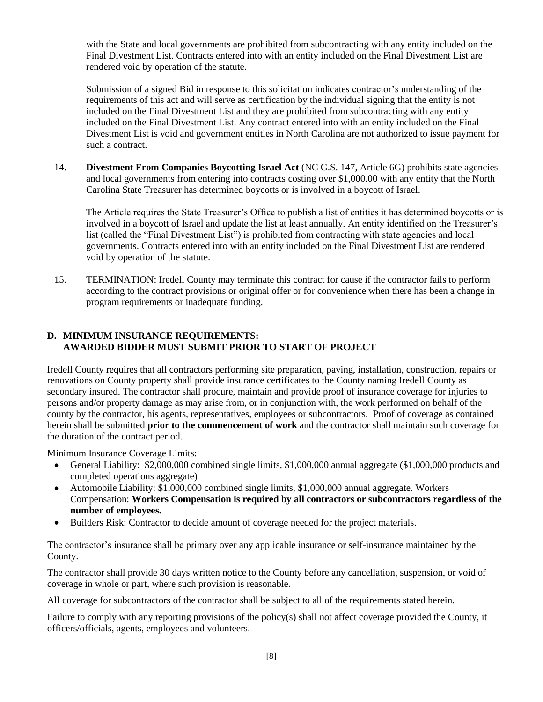with the State and local governments are prohibited from subcontracting with any entity included on the Final Divestment List. Contracts entered into with an entity included on the Final Divestment List are rendered void by operation of the statute.

Submission of a signed Bid in response to this solicitation indicates contractor's understanding of the requirements of this act and will serve as certification by the individual signing that the entity is not included on the Final Divestment List and they are prohibited from subcontracting with any entity included on the Final Divestment List. Any contract entered into with an entity included on the Final Divestment List is void and government entities in North Carolina are not authorized to issue payment for such a contract.

14. **Divestment From Companies Boycotting Israel Act** (NC G.S. 147, Article 6G) prohibits state agencies and local governments from entering into contracts costing over \$1,000.00 with any entity that the North Carolina State Treasurer has determined boycotts or is involved in a boycott of Israel.

The Article requires the State Treasurer's Office to publish a list of entities it has determined boycotts or is involved in a boycott of Israel and update the list at least annually. An entity identified on the Treasurer's list (called the "Final Divestment List") is prohibited from contracting with state agencies and local governments. Contracts entered into with an entity included on the Final Divestment List are rendered void by operation of the statute.

15. TERMINATION: Iredell County may terminate this contract for cause if the contractor fails to perform according to the contract provisions or original offer or for convenience when there has been a change in program requirements or inadequate funding.

## **D. MINIMUM INSURANCE REQUIREMENTS: AWARDED BIDDER MUST SUBMIT PRIOR TO START OF PROJECT**

Iredell County requires that all contractors performing site preparation, paving, installation, construction, repairs or renovations on County property shall provide insurance certificates to the County naming Iredell County as secondary insured. The contractor shall procure, maintain and provide proof of insurance coverage for injuries to persons and/or property damage as may arise from, or in conjunction with, the work performed on behalf of the county by the contractor, his agents, representatives, employees or subcontractors. Proof of coverage as contained herein shall be submitted **prior to the commencement of work** and the contractor shall maintain such coverage for the duration of the contract period.

Minimum Insurance Coverage Limits:

- General Liability: \$2,000,000 combined single limits, \$1,000,000 annual aggregate (\$1,000,000 products and completed operations aggregate)
- Automobile Liability: \$1,000,000 combined single limits, \$1,000,000 annual aggregate. Workers Compensation: **Workers Compensation is required by all contractors or subcontractors regardless of the number of employees.**
- Builders Risk: Contractor to decide amount of coverage needed for the project materials.

The contractor's insurance shall be primary over any applicable insurance or self-insurance maintained by the County.

The contractor shall provide 30 days written notice to the County before any cancellation, suspension, or void of coverage in whole or part, where such provision is reasonable.

All coverage for subcontractors of the contractor shall be subject to all of the requirements stated herein.

Failure to comply with any reporting provisions of the policy(s) shall not affect coverage provided the County, it officers/officials, agents, employees and volunteers.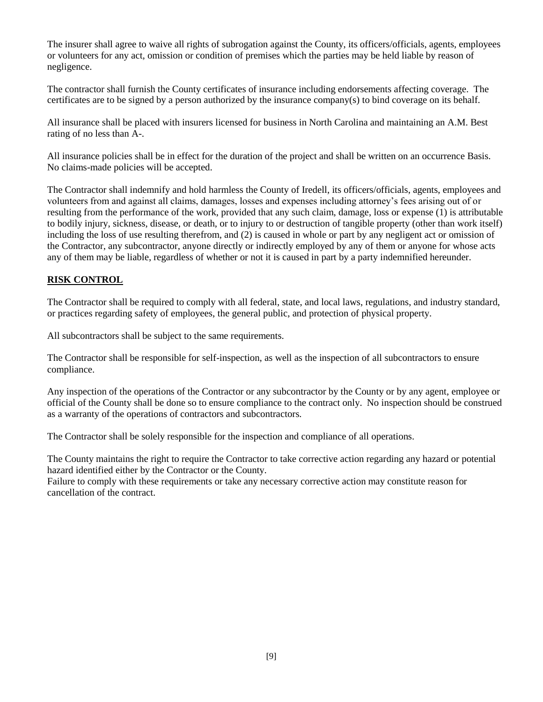The insurer shall agree to waive all rights of subrogation against the County, its officers/officials, agents, employees or volunteers for any act, omission or condition of premises which the parties may be held liable by reason of negligence.

The contractor shall furnish the County certificates of insurance including endorsements affecting coverage. The certificates are to be signed by a person authorized by the insurance company(s) to bind coverage on its behalf.

All insurance shall be placed with insurers licensed for business in North Carolina and maintaining an A.M. Best rating of no less than A-.

All insurance policies shall be in effect for the duration of the project and shall be written on an occurrence Basis. No claims-made policies will be accepted.

The Contractor shall indemnify and hold harmless the County of Iredell, its officers/officials, agents, employees and volunteers from and against all claims, damages, losses and expenses including attorney's fees arising out of or resulting from the performance of the work, provided that any such claim, damage, loss or expense (1) is attributable to bodily injury, sickness, disease, or death, or to injury to or destruction of tangible property (other than work itself) including the loss of use resulting therefrom, and (2) is caused in whole or part by any negligent act or omission of the Contractor, any subcontractor, anyone directly or indirectly employed by any of them or anyone for whose acts any of them may be liable, regardless of whether or not it is caused in part by a party indemnified hereunder.

## **RISK CONTROL**

The Contractor shall be required to comply with all federal, state, and local laws, regulations, and industry standard, or practices regarding safety of employees, the general public, and protection of physical property.

All subcontractors shall be subject to the same requirements.

The Contractor shall be responsible for self-inspection, as well as the inspection of all subcontractors to ensure compliance.

Any inspection of the operations of the Contractor or any subcontractor by the County or by any agent, employee or official of the County shall be done so to ensure compliance to the contract only. No inspection should be construed as a warranty of the operations of contractors and subcontractors.

The Contractor shall be solely responsible for the inspection and compliance of all operations.

The County maintains the right to require the Contractor to take corrective action regarding any hazard or potential hazard identified either by the Contractor or the County.

Failure to comply with these requirements or take any necessary corrective action may constitute reason for cancellation of the contract.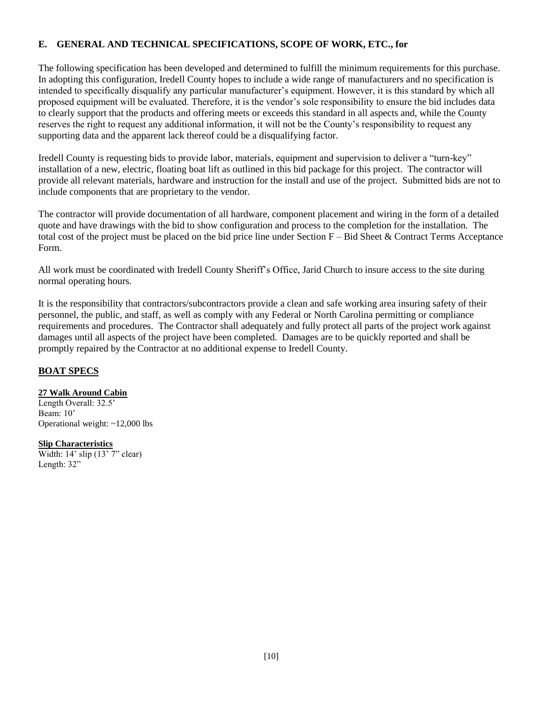## **E. GENERAL AND TECHNICAL SPECIFICATIONS, SCOPE OF WORK, ETC., for**

The following specification has been developed and determined to fulfill the minimum requirements for this purchase. In adopting this configuration, Iredell County hopes to include a wide range of manufacturers and no specification is intended to specifically disqualify any particular manufacturer's equipment. However, it is this standard by which all proposed equipment will be evaluated. Therefore, it is the vendor's sole responsibility to ensure the bid includes data to clearly support that the products and offering meets or exceeds this standard in all aspects and, while the County reserves the right to request any additional information, it will not be the County's responsibility to request any supporting data and the apparent lack thereof could be a disqualifying factor.

Iredell County is requesting bids to provide labor, materials, equipment and supervision to deliver a "turn-key" installation of a new, electric, floating boat lift as outlined in this bid package for this project. The contractor will provide all relevant materials, hardware and instruction for the install and use of the project. Submitted bids are not to include components that are proprietary to the vendor.

The contractor will provide documentation of all hardware, component placement and wiring in the form of a detailed quote and have drawings with the bid to show configuration and process to the completion for the installation. The total cost of the project must be placed on the bid price line under Section F – Bid Sheet & Contract Terms Acceptance Form.

All work must be coordinated with Iredell County Sheriff's Office, Jarid Church to insure access to the site during normal operating hours.

It is the responsibility that contractors/subcontractors provide a clean and safe working area insuring safety of their personnel, the public, and staff, as well as comply with any Federal or North Carolina permitting or compliance requirements and procedures. The Contractor shall adequately and fully protect all parts of the project work against damages until all aspects of the project have been completed. Damages are to be quickly reported and shall be promptly repaired by the Contractor at no additional expense to Iredell County.

#### **BOAT SPECS**

#### **27 Walk Around Cabin**

Length Overall: 32.5' Beam: 10' Operational weight: ~12,000 lbs

#### **Slip Characteristics**

Width:  $14'$  slip  $(13'$  7" clear) Length: 32"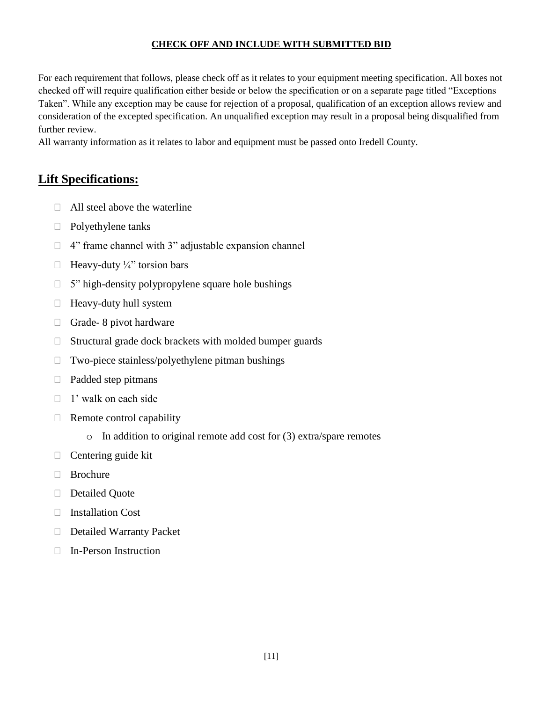## **CHECK OFF AND INCLUDE WITH SUBMITTED BID**

For each requirement that follows, please check off as it relates to your equipment meeting specification. All boxes not checked off will require qualification either beside or below the specification or on a separate page titled "Exceptions Taken". While any exception may be cause for rejection of a proposal, qualification of an exception allows review and consideration of the excepted specification. An unqualified exception may result in a proposal being disqualified from further review.

All warranty information as it relates to labor and equipment must be passed onto Iredell County.

## **Lift Specifications:**

- $\Box$  All steel above the waterline
- $\Box$  Polyethylene tanks
- $\Box$  4" frame channel with 3" adjustable expansion channel
- $\Box$  Heavy-duty 1/4" torsion bars
- $\Box$  5" high-density polypropylene square hole bushings
- $\Box$  Heavy-duty hull system
- $\Box$  Grade- 8 pivot hardware
- $\Box$  Structural grade dock brackets with molded bumper guards
- $\Box$  Two-piece stainless/polyethylene pitman bushings
- $\Box$  Padded step pitmans
- $\Box$  1' walk on each side
- $\Box$  Remote control capability
	- o In addition to original remote add cost for (3) extra/spare remotes
- $\Box$  Centering guide kit
- □ Brochure
- Detailed Ouote
- Installation Cost
- Detailed Warranty Packet
- In-Person Instruction